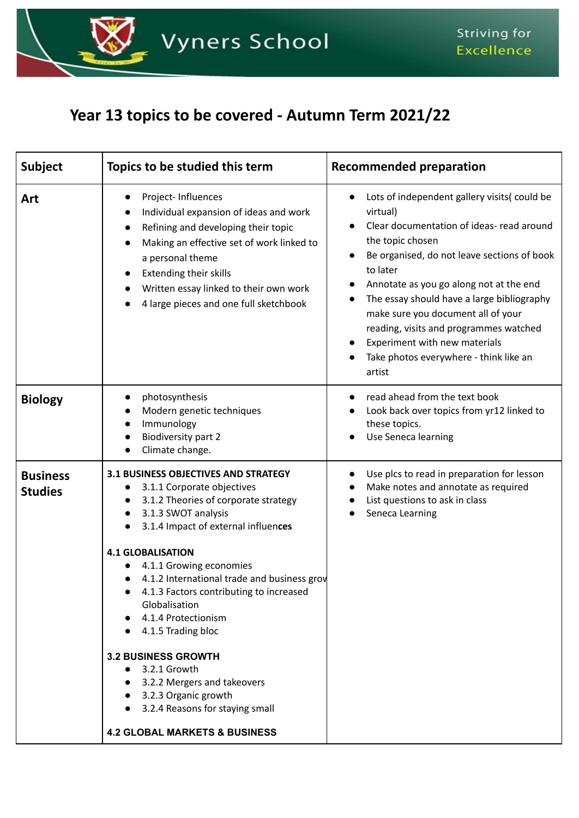

## **Year 13 topics to be covered - Autumn Term 2021/22**

| <b>Subject</b>                    | Topics to be studied this term                                                                                                                                                                                                                                                                                                                                                                                                                                                                                                                                                                  | <b>Recommended preparation</b>                                                                                                                                                                                                                                                                                                                                                                                                                    |
|-----------------------------------|-------------------------------------------------------------------------------------------------------------------------------------------------------------------------------------------------------------------------------------------------------------------------------------------------------------------------------------------------------------------------------------------------------------------------------------------------------------------------------------------------------------------------------------------------------------------------------------------------|---------------------------------------------------------------------------------------------------------------------------------------------------------------------------------------------------------------------------------------------------------------------------------------------------------------------------------------------------------------------------------------------------------------------------------------------------|
| Art                               | Project-Influences<br>Individual expansion of ideas and work<br>Refining and developing their topic<br>Making an effective set of work linked to<br>a personal theme<br><b>Extending their skills</b><br>Written essay linked to their own work<br>4 large pieces and one full sketchbook                                                                                                                                                                                                                                                                                                       | Lots of independent gallery visits(could be<br>virtual)<br>Clear documentation of ideas- read around<br>the topic chosen<br>Be organised, do not leave sections of book<br>to later<br>Annotate as you go along not at the end<br>The essay should have a large bibliography<br>make sure you document all of your<br>reading, visits and programmes watched<br>Experiment with new materials<br>Take photos everywhere - think like an<br>artist |
| <b>Biology</b>                    | photosynthesis<br>Modern genetic techniques<br>Immunology<br><b>Biodiversity part 2</b><br>Climate change.                                                                                                                                                                                                                                                                                                                                                                                                                                                                                      | read ahead from the text book<br>Look back over topics from yr12 linked to<br>these topics.<br>Use Seneca learning                                                                                                                                                                                                                                                                                                                                |
| <b>Business</b><br><b>Studies</b> | <b>3.1 BUSINESS OBJECTIVES AND STRATEGY</b><br>3.1.1 Corporate objectives<br>$\bullet$<br>3.1.2 Theories of corporate strategy<br>3.1.3 SWOT analysis<br>3.1.4 Impact of external influences<br><b>4.1 GLOBALISATION</b><br>4.1.1 Growing economies<br>4.1.2 International trade and business grov<br>4.1.3 Factors contributing to increased<br>Globalisation<br>4.1.4 Protectionism<br>4.1.5 Trading bloc<br><b>3.2 BUSINESS GROWTH</b><br>3.2.1 Growth<br>3.2.2 Mergers and takeovers<br>3.2.3 Organic growth<br>3.2.4 Reasons for staying small<br><b>4.2 GLOBAL MARKETS &amp; BUSINESS</b> | Use plcs to read in preparation for lesson<br>Make notes and annotate as required<br>List questions to ask in class<br>Seneca Learning                                                                                                                                                                                                                                                                                                            |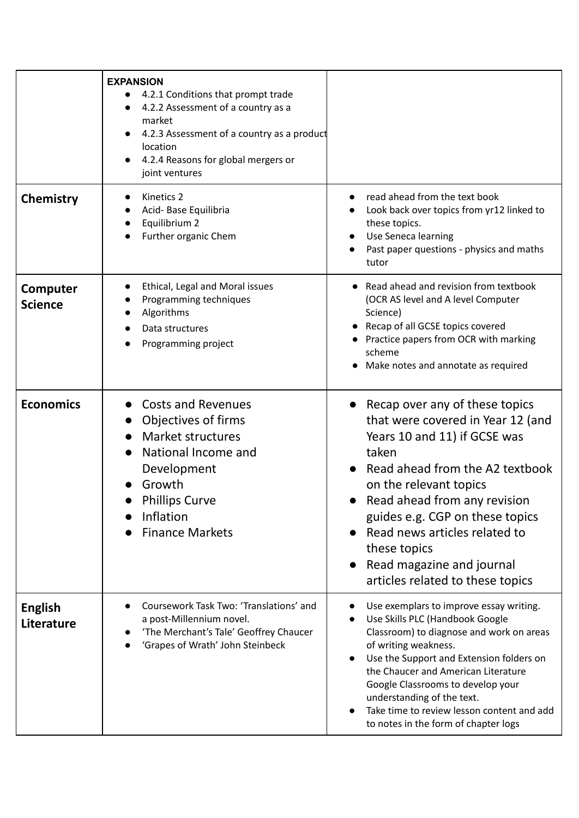|                              | <b>EXPANSION</b><br>4.2.1 Conditions that prompt trade<br>$\bullet$<br>4.2.2 Assessment of a country as a<br>$\bullet$<br>market<br>4.2.3 Assessment of a country as a product<br>location<br>4.2.4 Reasons for global mergers or<br>$\bullet$<br>joint ventures |                                                                                                                                                                                                                                                                                                                                                                                            |
|------------------------------|------------------------------------------------------------------------------------------------------------------------------------------------------------------------------------------------------------------------------------------------------------------|--------------------------------------------------------------------------------------------------------------------------------------------------------------------------------------------------------------------------------------------------------------------------------------------------------------------------------------------------------------------------------------------|
| Chemistry                    | Kinetics 2<br>Acid-Base Equilibria<br>Equilibrium 2<br>Further organic Chem                                                                                                                                                                                      | read ahead from the text book<br>Look back over topics from yr12 linked to<br>these topics.<br>Use Seneca learning<br>Past paper questions - physics and maths<br>tutor                                                                                                                                                                                                                    |
| Computer<br><b>Science</b>   | Ethical, Legal and Moral issues<br>$\bullet$<br>Programming techniques<br>Algorithms<br>$\bullet$<br>Data structures<br>Programming project                                                                                                                      | Read ahead and revision from textbook<br>(OCR AS level and A level Computer<br>Science)<br>Recap of all GCSE topics covered<br>Practice papers from OCR with marking<br>scheme<br>Make notes and annotate as required                                                                                                                                                                      |
| <b>Economics</b>             | <b>Costs and Revenues</b><br>Objectives of firms<br>Market structures<br>National Income and<br>Development<br>Growth<br><b>Phillips Curve</b><br>Inflation<br><b>Finance Markets</b>                                                                            | • Recap over any of these topics<br>that were covered in Year 12 (and<br>Years 10 and 11) if GCSE was<br>taken<br>Read ahead from the A2 textbook<br>on the relevant topics<br>Read ahead from any revision<br>guides e.g. CGP on these topics<br>Read news articles related to<br>these topics<br>Read magazine and journal<br>articles related to these topics                           |
| <b>English</b><br>Literature | Coursework Task Two: 'Translations' and<br>a post-Millennium novel.<br>'The Merchant's Tale' Geoffrey Chaucer<br>'Grapes of Wrath' John Steinbeck                                                                                                                | Use exemplars to improve essay writing.<br>Use Skills PLC (Handbook Google<br>Classroom) to diagnose and work on areas<br>of writing weakness.<br>Use the Support and Extension folders on<br>the Chaucer and American Literature<br>Google Classrooms to develop your<br>understanding of the text.<br>Take time to review lesson content and add<br>to notes in the form of chapter logs |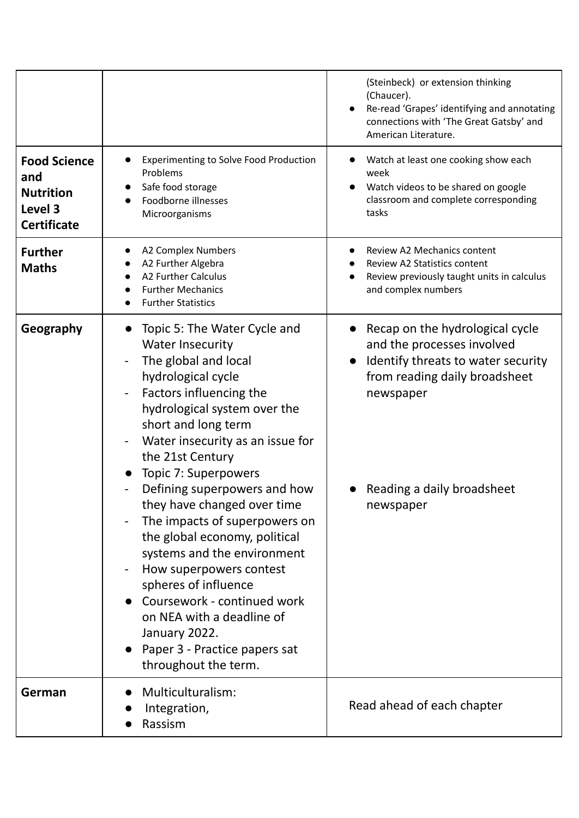|                                                                                 |                                                                                                                                                                                                                                                                                                                                                                                                                                                                                                                                                                                                                                                            | (Steinbeck) or extension thinking<br>(Chaucer).<br>Re-read 'Grapes' identifying and annotating<br>connections with 'The Great Gatsby' and<br>American Literature.                            |
|---------------------------------------------------------------------------------|------------------------------------------------------------------------------------------------------------------------------------------------------------------------------------------------------------------------------------------------------------------------------------------------------------------------------------------------------------------------------------------------------------------------------------------------------------------------------------------------------------------------------------------------------------------------------------------------------------------------------------------------------------|----------------------------------------------------------------------------------------------------------------------------------------------------------------------------------------------|
| <b>Food Science</b><br>and<br><b>Nutrition</b><br>Level 3<br><b>Certificate</b> | <b>Experimenting to Solve Food Production</b><br>Problems<br>Safe food storage<br>Foodborne illnesses<br>Microorganisms                                                                                                                                                                                                                                                                                                                                                                                                                                                                                                                                    | Watch at least one cooking show each<br>week<br>Watch videos to be shared on google<br>classroom and complete corresponding<br>tasks                                                         |
| <b>Further</b><br><b>Maths</b>                                                  | <b>A2 Complex Numbers</b><br>A2 Further Algebra<br><b>A2 Further Calculus</b><br><b>Further Mechanics</b><br><b>Further Statistics</b>                                                                                                                                                                                                                                                                                                                                                                                                                                                                                                                     | Review A2 Mechanics content<br><b>Review A2 Statistics content</b><br>Review previously taught units in calculus<br>and complex numbers                                                      |
| Geography                                                                       | Topic 5: The Water Cycle and<br>$\bullet$<br><b>Water Insecurity</b><br>The global and local<br>hydrological cycle<br>Factors influencing the<br>hydrological system over the<br>short and long term<br>Water insecurity as an issue for<br>the 21st Century<br>Topic 7: Superpowers<br>Defining superpowers and how<br>they have changed over time<br>The impacts of superpowers on<br>the global economy, political<br>systems and the environment<br>How superpowers contest<br>spheres of influence<br>Coursework - continued work<br>on NEA with a deadline of<br>January 2022.<br>Paper 3 - Practice papers sat<br>$\bullet$<br>throughout the term. | Recap on the hydrological cycle<br>and the processes involved<br>Identify threats to water security<br>from reading daily broadsheet<br>newspaper<br>Reading a daily broadsheet<br>newspaper |
| German                                                                          | Multiculturalism:<br>Integration,<br>Rassism                                                                                                                                                                                                                                                                                                                                                                                                                                                                                                                                                                                                               | Read ahead of each chapter                                                                                                                                                                   |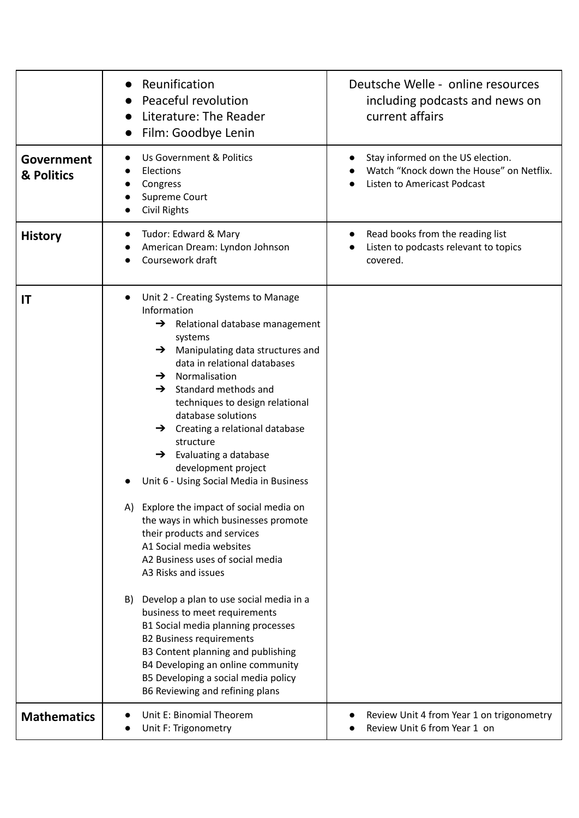|                                 | Reunification<br>$\bullet$<br>Peaceful revolution<br>Literature: The Reader<br>Film: Goodbye Lenin                                                                                                                                                                                                                                                                                                                                                                                                                                                                                                                                                                                                                                                                                                                                                                                                                                                                                                                      | Deutsche Welle - online resources<br>including podcasts and news on<br>current affairs                       |
|---------------------------------|-------------------------------------------------------------------------------------------------------------------------------------------------------------------------------------------------------------------------------------------------------------------------------------------------------------------------------------------------------------------------------------------------------------------------------------------------------------------------------------------------------------------------------------------------------------------------------------------------------------------------------------------------------------------------------------------------------------------------------------------------------------------------------------------------------------------------------------------------------------------------------------------------------------------------------------------------------------------------------------------------------------------------|--------------------------------------------------------------------------------------------------------------|
| <b>Government</b><br>& Politics | Us Government & Politics<br>Elections<br>Congress<br>Supreme Court<br><b>Civil Rights</b>                                                                                                                                                                                                                                                                                                                                                                                                                                                                                                                                                                                                                                                                                                                                                                                                                                                                                                                               | Stay informed on the US election.<br>Watch "Knock down the House" on Netflix.<br>Listen to Americast Podcast |
| <b>History</b>                  | Tudor: Edward & Mary<br>American Dream: Lyndon Johnson<br>Coursework draft                                                                                                                                                                                                                                                                                                                                                                                                                                                                                                                                                                                                                                                                                                                                                                                                                                                                                                                                              | Read books from the reading list<br>Listen to podcasts relevant to topics<br>covered.                        |
| IT                              | Unit 2 - Creating Systems to Manage<br>Information<br>$\rightarrow$ Relational database management<br>systems<br>Manipulating data structures and<br>→<br>data in relational databases<br>Normalisation<br>$\rightarrow$<br>Standard methods and<br>$\rightarrow$<br>techniques to design relational<br>database solutions<br>$\rightarrow$ Creating a relational database<br>structure<br>$\rightarrow$ Evaluating a database<br>development project<br>Unit 6 - Using Social Media in Business<br>A) Explore the impact of social media on<br>the ways in which businesses promote<br>their products and services<br>A1 Social media websites<br>A2 Business uses of social media<br>A3 Risks and issues<br>B) Develop a plan to use social media in a<br>business to meet requirements<br>B1 Social media planning processes<br><b>B2 Business requirements</b><br>B3 Content planning and publishing<br>B4 Developing an online community<br>B5 Developing a social media policy<br>B6 Reviewing and refining plans |                                                                                                              |
| <b>Mathematics</b>              | Unit E: Binomial Theorem<br>Unit F: Trigonometry                                                                                                                                                                                                                                                                                                                                                                                                                                                                                                                                                                                                                                                                                                                                                                                                                                                                                                                                                                        | Review Unit 4 from Year 1 on trigonometry<br>Review Unit 6 from Year 1 on                                    |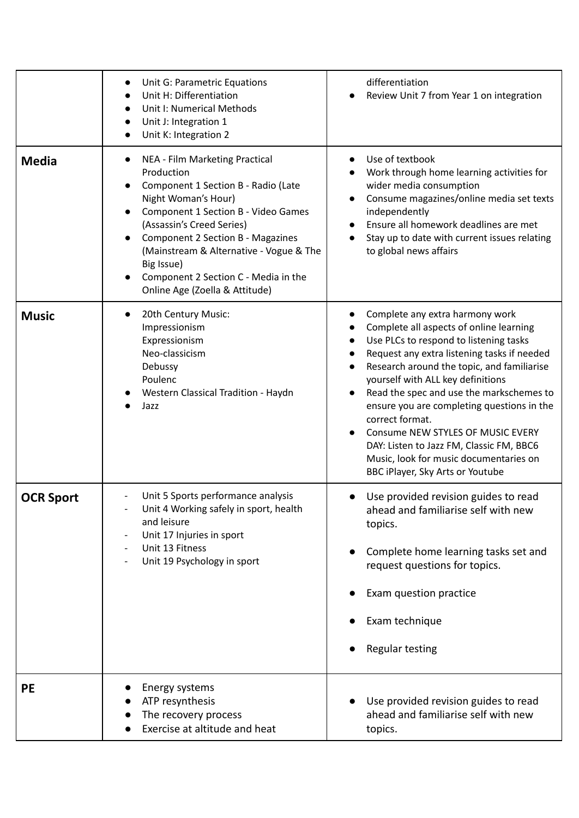|                  | Unit G: Parametric Equations<br>Unit H: Differentiation<br>Unit I: Numerical Methods<br>$\bullet$<br>Unit J: Integration 1<br>$\bullet$<br>Unit K: Integration 2                                                                                                                                                                                              | differentiation<br>Review Unit 7 from Year 1 on integration                                                                                                                                                                                                                                                                                                                                                                                                                                                                                     |
|------------------|---------------------------------------------------------------------------------------------------------------------------------------------------------------------------------------------------------------------------------------------------------------------------------------------------------------------------------------------------------------|-------------------------------------------------------------------------------------------------------------------------------------------------------------------------------------------------------------------------------------------------------------------------------------------------------------------------------------------------------------------------------------------------------------------------------------------------------------------------------------------------------------------------------------------------|
| <b>Media</b>     | NEA - Film Marketing Practical<br>Production<br>Component 1 Section B - Radio (Late<br>Night Woman's Hour)<br>Component 1 Section B - Video Games<br>(Assassin's Creed Series)<br><b>Component 2 Section B - Magazines</b><br>(Mainstream & Alternative - Vogue & The<br>Big Issue)<br>Component 2 Section C - Media in the<br>Online Age (Zoella & Attitude) | Use of textbook<br>Work through home learning activities for<br>wider media consumption<br>Consume magazines/online media set texts<br>independently<br>Ensure all homework deadlines are met<br>$\bullet$<br>Stay up to date with current issues relating<br>to global news affairs                                                                                                                                                                                                                                                            |
| <b>Music</b>     | 20th Century Music:<br>Impressionism<br>Expressionism<br>Neo-classicism<br>Debussy<br>Poulenc<br>Western Classical Tradition - Haydn<br>Jazz                                                                                                                                                                                                                  | Complete any extra harmony work<br>Complete all aspects of online learning<br>Use PLCs to respond to listening tasks<br>Request any extra listening tasks if needed<br>Research around the topic, and familiarise<br>yourself with ALL key definitions<br>Read the spec and use the markschemes to<br>$\bullet$<br>ensure you are completing questions in the<br>correct format.<br>Consume NEW STYLES OF MUSIC EVERY<br>DAY: Listen to Jazz FM, Classic FM, BBC6<br>Music, look for music documentaries on<br>BBC iPlayer, Sky Arts or Youtube |
| <b>OCR Sport</b> | Unit 5 Sports performance analysis<br>Unit 4 Working safely in sport, health<br>and leisure<br>Unit 17 Injuries in sport<br>Unit 13 Fitness<br>Unit 19 Psychology in sport                                                                                                                                                                                    | Use provided revision guides to read<br>ahead and familiarise self with new<br>topics.<br>Complete home learning tasks set and<br>request questions for topics.<br>Exam question practice<br>Exam technique<br>Regular testing                                                                                                                                                                                                                                                                                                                  |
| <b>PE</b>        | Energy systems<br>ATP resynthesis<br>The recovery process<br>Exercise at altitude and heat                                                                                                                                                                                                                                                                    | Use provided revision guides to read<br>ahead and familiarise self with new<br>topics.                                                                                                                                                                                                                                                                                                                                                                                                                                                          |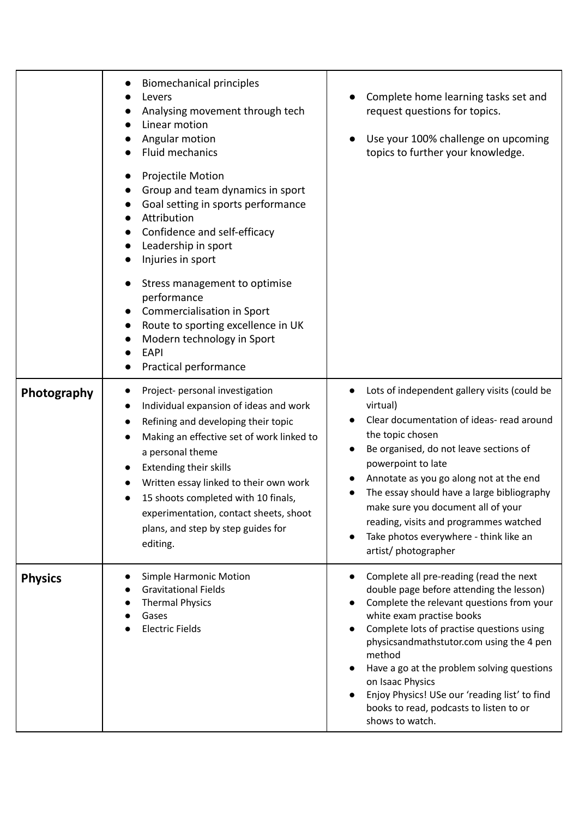|                | <b>Biomechanical principles</b><br>Levers<br>Analysing movement through tech<br>Linear motion<br>Angular motion<br><b>Fluid mechanics</b><br>Projectile Motion<br>Group and team dynamics in sport<br>Goal setting in sports performance<br>Attribution<br>Confidence and self-efficacy<br>$\bullet$<br>Leadership in sport<br>Injuries in sport<br>$\bullet$<br>Stress management to optimise<br>$\bullet$<br>performance<br>Commercialisation in Sport<br>$\bullet$<br>Route to sporting excellence in UK<br>$\bullet$<br>Modern technology in Sport<br>EAPI<br>Practical performance | Complete home learning tasks set and<br>request questions for topics.<br>Use your 100% challenge on upcoming<br>topics to further your knowledge.                                                                                                                                                                                                                                                                                                 |
|----------------|-----------------------------------------------------------------------------------------------------------------------------------------------------------------------------------------------------------------------------------------------------------------------------------------------------------------------------------------------------------------------------------------------------------------------------------------------------------------------------------------------------------------------------------------------------------------------------------------|---------------------------------------------------------------------------------------------------------------------------------------------------------------------------------------------------------------------------------------------------------------------------------------------------------------------------------------------------------------------------------------------------------------------------------------------------|
| Photography    | Project- personal investigation<br>$\bullet$<br>Individual expansion of ideas and work<br>Refining and developing their topic<br>$\bullet$<br>Making an effective set of work linked to<br>a personal theme<br><b>Extending their skills</b><br>Written essay linked to their own work<br>15 shoots completed with 10 finals,<br>experimentation, contact sheets, shoot<br>plans, and step by step guides for<br>editing.                                                                                                                                                               | Lots of independent gallery visits (could be<br>virtual)<br>Clear documentation of ideas- read around<br>the topic chosen<br>Be organised, do not leave sections of<br>powerpoint to late<br>Annotate as you go along not at the end<br>The essay should have a large bibliography<br>make sure you document all of your<br>reading, visits and programmes watched<br>Take photos everywhere - think like an<br>artist/photographer               |
| <b>Physics</b> | Simple Harmonic Motion<br><b>Gravitational Fields</b><br><b>Thermal Physics</b><br>Gases<br><b>Electric Fields</b>                                                                                                                                                                                                                                                                                                                                                                                                                                                                      | Complete all pre-reading (read the next<br>double page before attending the lesson)<br>Complete the relevant questions from your<br>white exam practise books<br>Complete lots of practise questions using<br>physicsandmathstutor.com using the 4 pen<br>method<br>Have a go at the problem solving questions<br>on Isaac Physics<br>Enjoy Physics! USe our 'reading list' to find<br>books to read, podcasts to listen to or<br>shows to watch. |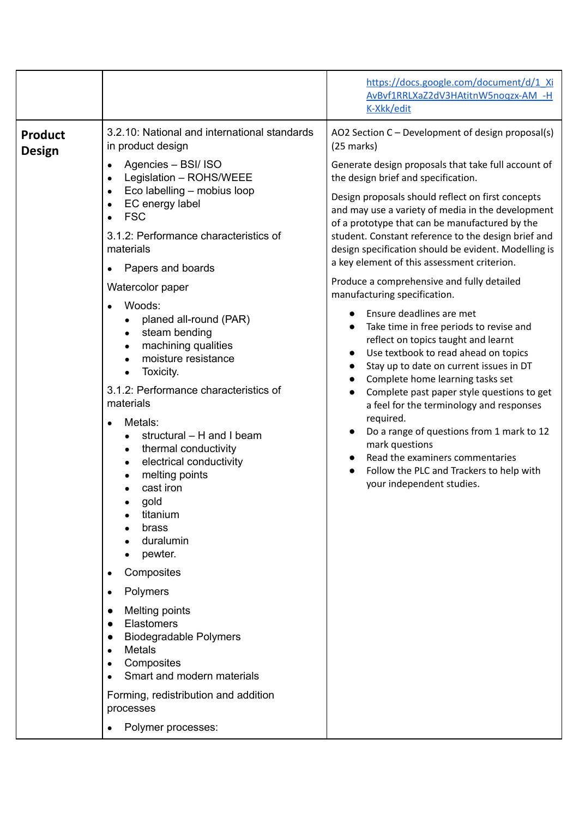|                                 |                                                                                                                                                                                                                                                                                                                                                                                                                                                                                                                                                                                                                                                                                                                                                                                                                                                                                                             | https://docs.google.com/document/d/1 Xi<br>AvBvf1RRLXaZ2dV3HAtitnW5noqzx-AM -H<br>K-Xkk/edit                                                                                                                                                                                                                                                                                                                                                                                                                                                                                                                                                                                                                                                                                                                                                                                                                                                                                                                                                                                                                |
|---------------------------------|-------------------------------------------------------------------------------------------------------------------------------------------------------------------------------------------------------------------------------------------------------------------------------------------------------------------------------------------------------------------------------------------------------------------------------------------------------------------------------------------------------------------------------------------------------------------------------------------------------------------------------------------------------------------------------------------------------------------------------------------------------------------------------------------------------------------------------------------------------------------------------------------------------------|-------------------------------------------------------------------------------------------------------------------------------------------------------------------------------------------------------------------------------------------------------------------------------------------------------------------------------------------------------------------------------------------------------------------------------------------------------------------------------------------------------------------------------------------------------------------------------------------------------------------------------------------------------------------------------------------------------------------------------------------------------------------------------------------------------------------------------------------------------------------------------------------------------------------------------------------------------------------------------------------------------------------------------------------------------------------------------------------------------------|
| <b>Product</b><br><b>Design</b> | 3.2.10: National and international standards<br>in product design<br>Agencies - BSI/ ISO<br>$\bullet$<br>Legislation - ROHS/WEEE<br>Eco labelling - mobius loop<br>EC energy label<br><b>FSC</b><br>3.1.2: Performance characteristics of<br>materials<br>Papers and boards<br>Watercolor paper<br>Woods:<br>planed all-round (PAR)<br>steam bending<br>machining qualities<br>moisture resistance<br>Toxicity.<br>3.1.2: Performance characteristics of<br>materials<br>Metals:<br>structural - H and I beam<br>thermal conductivity<br>electrical conductivity<br>melting points<br>cast iron<br>gold<br>titanium<br>brass<br>duralumin<br>pewter.<br>Composites<br>Polymers<br>$\bullet$<br><b>Melting points</b><br>Elastomers<br><b>Biodegradable Polymers</b><br><b>Metals</b><br>Composites<br>Smart and modern materials<br>Forming, redistribution and addition<br>processes<br>Polymer processes: | AO2 Section C - Development of design proposal(s)<br>$(25$ marks)<br>Generate design proposals that take full account of<br>the design brief and specification.<br>Design proposals should reflect on first concepts<br>and may use a variety of media in the development<br>of a prototype that can be manufactured by the<br>student. Constant reference to the design brief and<br>design specification should be evident. Modelling is<br>a key element of this assessment criterion.<br>Produce a comprehensive and fully detailed<br>manufacturing specification.<br>Ensure deadlines are met<br>Take time in free periods to revise and<br>reflect on topics taught and learnt<br>Use textbook to read ahead on topics<br>Stay up to date on current issues in DT<br>Complete home learning tasks set<br>Complete past paper style questions to get<br>a feel for the terminology and responses<br>required.<br>Do a range of questions from 1 mark to 12<br>mark questions<br>Read the examiners commentaries<br>Follow the PLC and Trackers to help with<br>$\bullet$<br>your independent studies. |